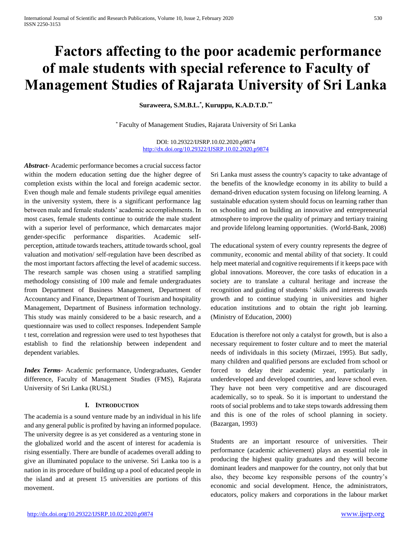# **Factors affecting to the poor academic performance of male students with special reference to Faculty of Management Studies of Rajarata University of Sri Lanka**

**Suraweera, S.M.B.L.\* , Kuruppu, K.A.D.T.D.\*\***

\* Faculty of Management Studies, Rajarata University of Sri Lanka

DOI: 10.29322/IJSRP.10.02.2020.p9874 <http://dx.doi.org/10.29322/IJSRP.10.02.2020.p9874>

*Abstract***-** Academic performance becomes a crucial success factor within the modern education setting due the higher degree of completion exists within the local and foreign academic sector. Even though male and female students privilege equal amenities in the university system, there is a significant performance lag between male and female students' academic accomplishments. In most cases, female students continue to outride the male student with a superior level of performance, which demarcates major gender-specific performance disparities. Academic selfperception, attitude towards teachers, attitude towards school, goal valuation and motivation/ self-regulation have been described as the most important factors affecting the level of academic success. The research sample was chosen using a stratified sampling methodology consisting of 100 male and female undergraduates from Department of Business Management, Department of Accountancy and Finance, Department of Tourism and hospitality Management, Department of Business information technology. This study was mainly considered to be a basic research, and a questionnaire was used to collect responses. Independent Sample t test, correlation and regression were used to test hypotheses that establish to find the relationship between independent and dependent variables.

*Index Terms*- Academic performance, Undergraduates, Gender difference, Faculty of Management Studies (FMS), Rajarata University of Sri Lanka (RUSL)

#### **I. INTRODUCTION**

The academia is a sound venture made by an individual in his life and any general public is profited by having an informed populace. The university degree is as yet considered as a venturing stone in the globalized world and the ascent of interest for academia is rising essentially. There are bundle of academes overall adding to give an illuminated populace to the universe. Sri Lanka too is a nation in its procedure of building up a pool of educated people in the island and at present 15 universities are portions of this movement.

Sri Lanka must assess the country's capacity to take advantage of the benefits of the knowledge economy in its ability to build a demand-driven education system focusing on lifelong learning. A sustainable education system should focus on learning rather than on schooling and on building an innovative and entrepreneurial atmosphere to improve the quality of primary and tertiary training and provide lifelong learning opportunities. (World-Bank, 2008)

The educational system of every country represents the degree of community, economic and mental ability of that society. It could help meet material and cognitive requirements if it keeps pace with global innovations. Moreover, the core tasks of education in a society are to translate a cultural heritage and increase the recognition and guiding of students ' skills and interests towards growth and to continue studying in universities and higher education institutions and to obtain the right job learning. (Ministry of Education, 2000)

Education is therefore not only a catalyst for growth, but is also a necessary requirement to foster culture and to meet the material needs of individuals in this society (Mirzaei, 1995). But sadly, many children and qualified persons are excluded from school or forced to delay their academic year, particularly in underdeveloped and developed countries, and leave school even. They have not been very competitive and are discouraged academically, so to speak. So it is important to understand the roots of social problems and to take steps towards addressing them and this is one of the roles of school planning in society. (Bazargan, 1993)

Students are an important resource of universities. Their performance (academic achievement) plays an essential role in producing the highest quality graduates and they will become dominant leaders and manpower for the country, not only that but also, they become key responsible persons of the country's economic and social development. Hence, the administrators, educators, policy makers and corporations in the labour market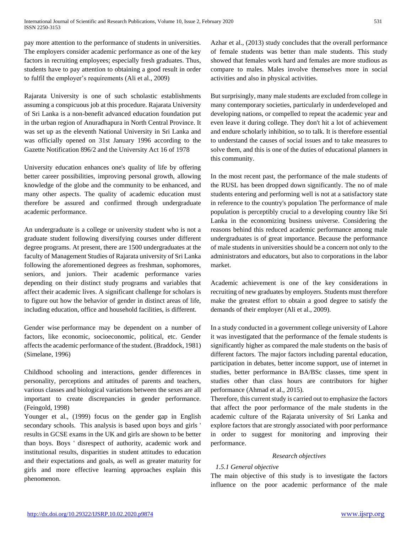pay more attention to the performance of students in universities. The employers consider academic performance as one of the key factors in recruiting employees; especially fresh graduates. Thus, students have to pay attention to obtaining a good result in order to fulfil the employer's requirements (Ali et al., 2009)

Rajarata University is one of such scholastic establishments assuming a conspicuous job at this procedure. Rajarata University of Sri Lanka is a non-benefit advanced education foundation put in the urban region of Anuradhapura in North Central Province. It was set up as the eleventh National University in Sri Lanka and was officially opened on 31st January 1996 according to the Gazette Notification 896/2 and the University Act 16 of 1978

University education enhances one's quality of life by offering better career possibilities, improving personal growth, allowing knowledge of the globe and the community to be enhanced, and many other aspects. The quality of academic education must therefore be assured and confirmed through undergraduate academic performance.

An undergraduate is a college or university student who is not a graduate student following diversifying courses under different degree programs. At present, there are 1500 undergraduates at the faculty of Management Studies of Rajarata university of Sri Lanka following the aforementioned degrees as freshman, sophomores, seniors, and juniors. Their academic performance varies depending on their distinct study programs and variables that affect their academic lives. A significant challenge for scholars is to figure out how the behavior of gender in distinct areas of life, including education, office and household facilities, is different.

Gender wise performance may be dependent on a number of factors, like economic, socioeconomic, political, etc. Gender affects the academic performance of the student. (Braddock, 1981) (Simelane, 1996)

Childhood schooling and interactions, gender differences in personality, perceptions and attitudes of parents and teachers, various classes and biological variations between the sexes are all important to create discrepancies in gender performance. (Feingold, 1998)

Younger et al., (1999) focus on the gender gap in English secondary schools. This analysis is based upon boys and girls ' results in GCSE exams in the UK and girls are shown to be better than boys. Boys ' disrespect of authority, academic work and institutional results, disparities in student attitudes to education and their expectations and goals, as well as greater maturity for girls and more effective learning approaches explain this phenomenon.

Azhar et al., (2013) study concludes that the overall performance of female students was better than male students. This study showed that females work hard and females are more studious as compare to males. Males involve themselves more in social activities and also in physical activities.

But surprisingly, many male students are excluded from college in many contemporary societies, particularly in underdeveloped and developing nations, or compelled to repeat the academic year and even leave it during college. They don't hit a lot of achievement and endure scholarly inhibition, so to talk. It is therefore essential to understand the causes of social issues and to take measures to solve them, and this is one of the duties of educational planners in this community.

In the most recent past, the performance of the male students of the RUSL has been dropped down significantly. The no of male students entering and performing well is not at a satisfactory state in reference to the country's population The performance of male population is perceptibly crucial to a developing country like Sri Lanka in the economizing business universe. Considering the reasons behind this reduced academic performance among male undergraduates is of great importance. Because the performance of male students in universities should be a concern not only to the administrators and educators, but also to corporations in the labor market.

Academic achievement is one of the key considerations in recruiting of new graduates by employers. Students must therefore make the greatest effort to obtain a good degree to satisfy the demands of their employer (Ali et al., 2009).

In a study conducted in a government college university of Lahore it was investigated that the performance of the female students is significantly higher as compared the male students on the basis of different factors. The major factors including parental education, participation in debates, better income support, use of internet in studies, better performance in BA/BSc classes, time spent in studies other than class hours are contributors for higher performance (Ahmad et al., 2015).

Therefore, this current study is carried out to emphasize the factors that affect the poor performance of the male students in the academic culture of the Rajarata university of Sri Lanka and explore factors that are strongly associated with poor performance in order to suggest for monitoring and improving their performance.

#### *Research objectives*

#### *1.5.1 General objective*

The main objective of this study is to investigate the factors influence on the poor academic performance of the male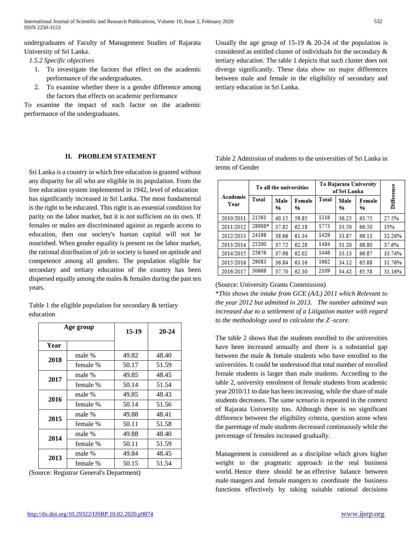undergraduates of Faculty of Management Studies of Rajarata University of Sri Lanka.

*1.5.2 Specific objectives*

- 1. To investigate the factors that effect on the academic performance of the undergraduates.
- 2. To examine whether there is a gender difference among the factors that effects on academic performance

To examine the impact of each factor on the academic performance of the undergraduates.

#### **II. PROBLEM STATEMENT**

Sri Lanka is a country in which free education is granted without any disparity for all who are eligible in its population. From the free education system implemented in 1942, level of education has significantly increased in Sri Lanka. The most fundamental is the right to be educated. This right is an essential condition for parity on the labor market, but it is not sufficient on its own. If females or males are discriminated against as regards access to education, then our society's human capital will not be nourished. When gender equality is present on the labor market, the rational distribution of job in society is based on aptitude and competence among all genders. The population eligible for secondary and tertiary education of the country has been dispersed equally among the males & females during the past ten years.

Table 1 the eligible population for secondary & tertiary education

|      | Age group |       | $20 - 24$ |
|------|-----------|-------|-----------|
| Year |           |       |           |
| 2018 | male %    | 49.82 | 48.40     |
|      | female %  | 50.17 | 51.59     |
| 2017 | male %    | 49.85 | 48.45     |
|      | female %  | 50.14 | 51.54     |
| 2016 | male %    | 49.85 | 48.43     |
|      | female %  | 50.14 | 51.56     |
| 2015 | male %    | 49.88 | 48.41     |
|      | female %  | 50.11 | 51.58     |
| 2014 | male %    | 49.88 | 48.40     |
|      | female %  | 50.11 | 51.59     |
| 2013 | male %    | 49.84 | 48.45     |
|      | female %  | 50.15 | 51.54     |

(Source: Registrar General's Department)

Usually the age group of 15-19  $& 20-24$  of the population is considered as entitled cluster of individuals for the secondary & tertiary education. The table 1 depicts that such cluster does not diverge significantly. These data show no major differences between male and female in the eligibility of secondary and tertiary education in Sri Lanka.

|                  |        | To all the universities |             |       | To Rajarata University<br>of Sri Lanka |             |            |
|------------------|--------|-------------------------|-------------|-------|----------------------------------------|-------------|------------|
| Academic<br>Year | Total  | Male<br>%               | Female<br>% | Total | Male<br>%                              | Female<br>% | Difference |
| 2010/2011        | 21561  | 40.15                   | 59.85       | 1316  | 36.25                                  | 63.75       | 27.5%      |
| 2011/2012        | 28908* | 37.82                   | 62.18       | 1773  | 33.50                                  | 66.50       | 33%        |
| 2012/2013        | 24198  | 38.66                   | 61.34       | 1429  | 33.87                                  | 66.13       | 32.26%     |
| 2013/2014        | 25200  | 37.72                   | 62.28       | 1484  | 31.20                                  | 68.80       | 37.6%      |
| 2014/2015        | 25676  | 37.98                   | 62.02       | 1446  | 33.13                                  | 66.87       | 33.74%     |
| 2015/2016        | 29083  | 36.84                   | 63.16       | 1662  | 34.12                                  | 65.88       | 31.76%     |
| 2016/2017        | 30668  | 37.70                   | 62.30       | 2109  | 34.42                                  | 65.58       | 31.16%     |

Table 2 Admission of students to the universities of Sri Lanka in terms of Gender

## (Source: University Grants Commission)

\**This shows the intake from GCE (A/L) 2011 which Relevant to the year 2012 but admitted in 2013. The number admitted was increased due to a settlement of a Litigation matter with regard to the methodology used to calculate the Z -score.*

The table 2 shows that the students enrolled to the universities have been increased annually and there is a substantial gap between the male & female students who have enrolled to the universities. It could be understood that total number of enrolled female students is larger than male students. According to the table 2, university enrolment of female students from academic year 2010/11 to date has been increasing, while the share of male students decreases. The same scenario is repeated in the context of Rajarata University too. Although there is no significant difference between the eligibility criteria, question arose when the parentage of male students decreased continuously while the percentage of females increased gradually.

Management is considered as a discipline which gives higher weight to the pragmatic approach in the real business world. Hence there should be an effective balance between male mangers and female mangers to coordinate the business functions effectively by taking suitable rational decisions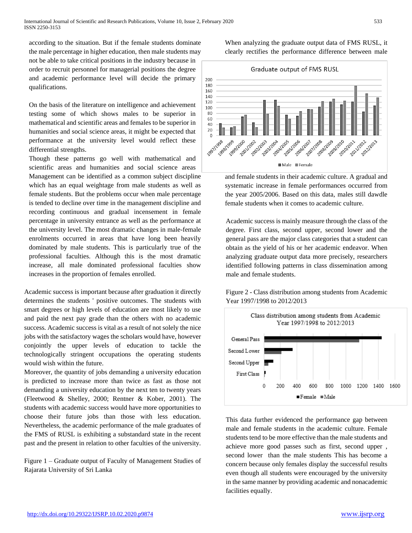according to the situation. But if the female students dominate the male percentage in higher education, then male students may not be able to take critical positions in the industry because in order to recruit personnel for managerial positions the degree and academic performance level will decide the primary qualifications.

On the basis of the literature on intelligence and achievement testing some of which shows males to be superior in mathematical and scientific areas and females to be superior in humanities and social science areas, it might be expected that performance at the university level would reflect these differential strengths.

Though these patterns go well with mathematical and scientific areas and humanities and social science areas Management can be identified as a common subject discipline which has an equal weightage from male students as well as female students. But the problems occur when male percentage is tended to decline over time in the management discipline and recording continuous and gradual incensement in female percentage in university entrance as well as the performance at the university level. The most dramatic changes in male-female enrolments occurred in areas that have long been heavily dominated by male students. This is particularly true of the professional faculties. Although this is the most dramatic increase, all male dominated professional faculties show increases in the proportion of females enrolled.

Academic success is important because after graduation it directly determines the students ' positive outcomes. The students with smart degrees or high levels of education are most likely to use and paid the next pay grade than the others with no academic success. Academic success is vital as a result of not solely the nice jobs with the satisfactory wages the scholars would have, however conjointly the upper levels of education to tackle the technologically stringent occupations the operating students would wish within the future.

Moreover, the quantity of jobs demanding a university education is predicted to increase more than twice as fast as those not demanding a university education by the next ten to twenty years (Fleetwood & Shelley, 2000; Rentner & Kober, 2001). The students with academic success would have more opportunities to choose their future jobs than those with less education. Nevertheless, the academic performance of the male graduates of the FMS of RUSL is exhibiting a substandard state in the recent past and the present in relation to other faculties of the university.

Figure 1 – Graduate output of Faculty of Management Studies of Rajarata University of Sri Lanka

When analyzing the graduate output data of FMS RUSL, it clearly rectifies the performance difference between male



and female students in their academic culture. A gradual and systematic increase in female performances occurred from the year 2005/2006. Based on this data, males still dawdle female students when it comes to academic culture.

Academic success is mainly measure through the class of the degree. First class, second upper, second lower and the general pass are the major class categories that a student can obtain as the yield of his or her academic endeavor. When analyzing graduate output data more precisely, researchers identified following patterns in class dissemination among male and female students.

Figure 2 - Class distribution among students from Academic Year 1997/1998 to 2012/2013



This data further evidenced the performance gap between male and female students in the academic culture. Female students tend to be more effective than the male students and achieve more good passes such as first, second upper , second lower than the male students This has become a concern because only females display the successful results even though all students were encouraged by the university in the same manner by providing academic and nonacademic facilities equally.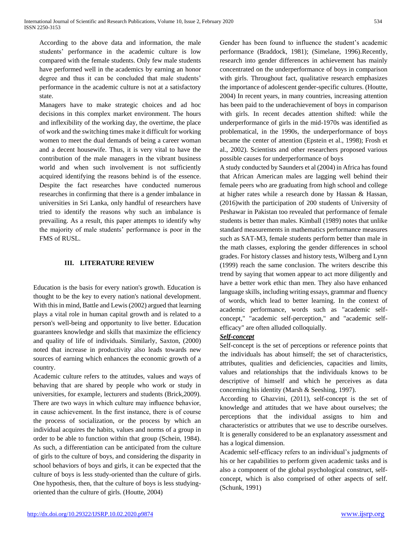According to the above data and information, the male students' performance in the academic culture is low compared with the female students. Only few male students have performed well in the academics by earning an honor degree and thus it can be concluded that male students' performance in the academic culture is not at a satisfactory state.

Managers have to make strategic choices and ad hoc decisions in this complex market environment. The hours and inflexibility of the working day, the overtime, the place of work and the switching times make it difficult for working women to meet the dual demands of being a career woman and a decent housewife. Thus, it is very vital to have the contribution of the male managers in the vibrant business world and when such involvement is not sufficiently acquired identifying the reasons behind is of the essence. Despite the fact researches have conducted numerous researches in confirming that there is a gender imbalance in universities in Sri Lanka, only handful of researchers have tried to identify the reasons why such an imbalance is prevailing. As a result, this paper attempts to identify why the majority of male students' performance is poor in the FMS of RUSL.

# **III. LITERATURE REVIEW**

Education is the basis for every nation's growth. Education is thought to be the key to every nation's national development. With this in mind, Battle and Lewis (2002) argued that learning plays a vital role in human capital growth and is related to a person's well-being and opportunity to live better. Education guarantees knowledge and skills that maximize the efficiency and quality of life of individuals. Similarly, Saxton, (2000) noted that increase in productivity also leads towards new sources of earning which enhances the economic growth of a country.

Academic culture refers to the attitudes, values and ways of behaving that are shared by people who work or study in universities, for example, lecturers and students (Brick,2009). There are two ways in which culture may influence behavior, in cause achievement. In the first instance, there is of course the process of socialization, or the process by which an individual acquires the habits, values and norms of a group in order to be able to function within that group (Schein, 1984). As such, a differentiation can be anticipated from the culture of girls to the culture of boys, and considering the disparity in school behaviors of boys and girls, it can be expected that the culture of boys is less study-oriented than the culture of girls. One hypothesis, then, that the culture of boys is less studyingoriented than the culture of girls. (Houtte, 2004)

Gender has been found to influence the student's academic performance (Braddock, 1981); (Simelane, 1996).Recently, research into gender differences in achievement has mainly concentrated on the underperformance of boys in comparison with girls. Throughout fact, qualitative research emphasizes the importance of adolescent gender-specific cultures. (Houtte, 2004) In recent years, in many countries, increasing attention has been paid to the underachievement of boys in comparison with girls. In recent decades attention shifted: while the underperformance of girls in the mid-1970s was identified as problematical, in the 1990s, the underperformance of boys became the center of attention (Epstein et al., 1998); Frosh et al., 2002). Scientists and other researchers proposed various possible causes for underperformance of boys

A study conducted by Saunders et al (2004) in Africa has found that African American males are lagging well behind their female peers who are graduating from high school and college at higher rates while a research done by Hassan & Hassan, (2016)with the participation of 200 students of University of Peshawar in Pakistan too revealed that performance of female students is better than males. Kimball (1989) notes that unlike standard measurements in mathematics performance measures such as SAT-M3, female students perform better than male in the math classes, exploring the gender differences in school grades. For history classes and history tests, Wilberg and Lynn (1999) reach the same conclusion. The writers describe this trend by saying that women appear to act more diligently and have a better work ethic than men. They also have enhanced language skills, including writing essays, grammar and fluency of words, which lead to better learning. In the context of academic performance, words such as "academic selfconcept," "academic self-perception," and "academic selfefficacy" are often alluded colloquially.

## *Self-concept*

Self-concept is the set of perceptions or reference points that the individuals has about himself; the set of characteristics, attributes, qualities and deficiencies, capacities and limits, values and relationships that the individuals knows to be descriptive of himself and which he perceives as data concerning his identity (Marsh & Seeshing, 1997).

According to Ghazvini, (2011), self-concept is the set of knowledge and attitudes that we have about ourselves; the perceptions that the individual assigns to him and characteristics or attributes that we use to describe ourselves. It is generally considered to be an explanatory assessment and has a logical dimension.

Academic self-efficacy refers to an individual's judgments of his or her capabilities to perform given academic tasks and is also a component of the global psychological construct, selfconcept, which is also comprised of other aspects of self. (Schunk, 1991)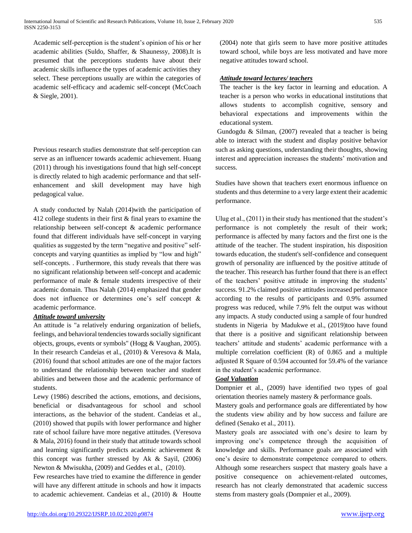Academic self-perception is the student's opinion of his or her academic abilities (Suldo, Shaffer, & Shaunessy, 2008).It is presumed that the perceptions students have about their academic skills influence the types of academic activities they select. These perceptions usually are within the categories of academic self-efficacy and academic self-concept (McCoach & Siegle, 2001).

Previous research studies demonstrate that self-perception can serve as an influencer towards academic achievement. Huang (2011) through his investigations found that high self-concept is directly related to high academic performance and that selfenhancement and skill development may have high pedagogical value.

A study conducted by Nalah (2014)with the participation of 412 college students in their first & final years to examine the relationship between self-concept & academic performance found that different individuals have self-concept in varying qualities as suggested by the term "negative and positive" selfconcepts and varying quantities as implied by "low and high" self-concepts. . Furthermore, this study reveals that there was no significant relationship between self-concept and academic performance of male & female students irrespective of their academic domain. Thus Nalah (2014) emphasized that gender does not influence or determines one's self concept & academic performance.

## *Attitude toward university*

An attitude is "a relatively enduring organization of beliefs, feelings, and behavioral tendencies towards socially significant objects, groups, events or symbols" (Hogg & Vaughan, 2005). In their research Candeias et al., (2010) & Veresova & Mala, (2016) found that school attitudes are one of the major factors to understand the relationship between teacher and student abilities and between those and the academic performance of students.

Lewy (1986) described the actions, emotions, and decisions, beneficial or disadvantageous for school and school interactions, as the behavior of the student. Candeias et al., (2010) showed that pupils with lower performance and higher rate of school failure have more negative attitudes. (Veresova & Mala, 2016) found in their study that attitude towards school and learning significantly predicts academic achievement & this concept was further stressed by Ak & Sayil, (2006) Newton & Mwisukha, (2009) and Geddes et al., (2010).

Few researches have tried to examine the difference in gender will have any different attitude in schools and how it impacts to academic achievement. Candeias et al., (2010) & Houtte (2004) note that girls seem to have more positive attitudes toward school, while boys are less motivated and have more negative attitudes toward school.

## *Attitude toward lectures/ teachers*

The teacher is the key factor in learning and education. A teacher is a person who works in educational institutions that allows students to accomplish cognitive, sensory and behavioral expectations and improvements within the educational system.

Gundogdu & Silman, (2007) revealed that a teacher is being able to interact with the student and display positive behavior such as asking questions, understanding their thoughts, showing interest and appreciation increases the students' motivation and success.

Studies have shown that teachers exert enormous influence on students and thus determine to a very large extent their academic performance.

Ulug et al., (2011) in their study has mentioned that the student's performance is not completely the result of their work; performance is affected by many factors and the first one is the attitude of the teacher. The student inspiration, his disposition towards education, the student's self-confidence and consequent growth of personality are influenced by the positive attitude of the teacher. This research has further found that there is an effect of the teachers' positive attitude in improving the students' success. 91.2% claimed positive attitudes increased performance according to the results of participants and 0.9% assumed progress was reduced, while 7.9% felt the output was without any impacts. A study conducted using a sample of four hundred students in Nigeria by Madukwe et al., (2019)too have found that there is a positive and significant relationship between teachers' attitude and students' academic performance with a multiple correlation coefficient (R) of 0.865 and a multiple adjusted R Square of 0.594 accounted for 59.4% of the variance in the student's academic performance.

## *Goal Valuation*

Dompnier et al., (2009) have identified two types of goal orientation theories namely mastery & performance goals.

Mastery goals and performance goals are differentiated by how the students view ability and by how success and failure are defined (Senako et al., 2011).

Mastery goals are associated with one's desire to learn by improving one's competence through the acquisition of knowledge and skills. Performance goals are associated with one's desire to demonstrate competence compared to others. Although some researchers suspect that mastery goals have a positive consequence on achievement-related outcomes, research has not clearly demonstrated that academic success stems from mastery goals (Dompnier et al., 2009).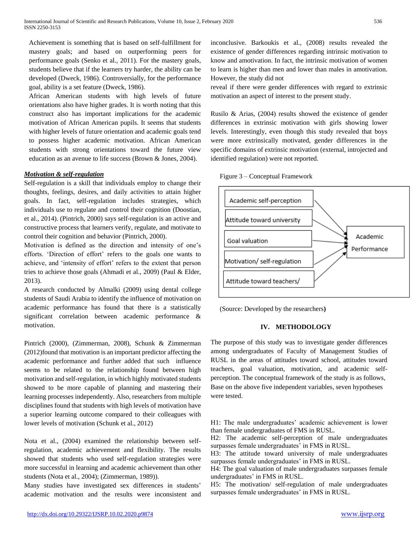Achievement is something that is based on self-fulfillment for mastery goals; and based on outperforming peers for performance goals (Senko et al., 2011). For the mastery goals, students believe that if the learners try harder, the ability can be developed (Dweck, 1986). Controversially, for the performance goal, ability is a set feature (Dweck, 1986).

African American students with high levels of future orientations also have higher grades. It is worth noting that this construct also has important implications for the academic motivation of African American pupils. It seems that students with higher levels of future orientation and academic goals tend to possess higher academic motivation. African American students with strong orientations toward the future view education as an avenue to life success (Brown & Jones, 2004).

## *Motivation & self-regulation*

Self-regulation is a skill that individuals employ to change their thoughts, feelings, desires, and daily activities to attain higher goals. In fact, self-regulation includes strategies, which individuals use to regulate and control their cognition (Doostian, et al., 2014). (Pintrich, 2000) says self-regulation is an active and constructive process that learners verify, regulate, and motivate to control their cognition and behavior (Pintrich, 2000).

Motivation is defined as the direction and intensity of one's efforts. 'Direction of effort' refers to the goals one wants to achieve, and 'intensity of effort' refers to the extent that person tries to achieve those goals (Ahmadi et al., 2009) (Paul & Elder, 2013).

A research conducted by Almalki (2009) using dental college students of Saudi Arabia to identify the influence of motivation on academic performance has found that there is a statistically significant correlation between academic performance & motivation.

Pintrich (2000), (Zimmerman, 2008), Schunk & Zimmerman (2012)found that motivation is an important predictor affecting the academic performance and further added that such influence seems to be related to the relationship found between high motivation and self-regulation, in which highly motivated students showed to be more capable of planning and mastering their learning processes independently. Also, researchers from multiple disciplines found that students with high levels of motivation have a superior learning outcome compared to their colleagues with lower levels of motivation (Schunk et al., 2012)

Nota et al., (2004) examined the relationship between selfregulation, academic achievement and flexibility. The results showed that students who used self-regulation strategies were more successful in learning and academic achievement than other students (Nota et al., 2004); (Zimmerman, 1989)).

Many studies have investigated sex differences in students' academic motivation and the results were inconsistent and inconclusive. Barkoukis et al., (2008) results revealed the existence of gender differences regarding intrinsic motivation to know and amotivation. In fact, the intrinsic motivation of women to learn is higher than men and lower than males in amotivation. However, the study did not

reveal if there were gender differences with regard to extrinsic motivation an aspect of interest to the present study.

Rusilo & Arias, (2004) results showed the existence of gender differences in extrinsic motivation with girls showing lower levels. Interestingly, even though this study revealed that boys were more extrinsically motivated, gender differences in the specific domains of extrinsic motivation (external, introjected and identified regulation) were not reported.





(Source: Developed by the researchers**)**

# **IV. METHODOLOGY**

The purpose of this study was to investigate gender differences among undergraduates of Faculty of Management Studies of RUSL in the areas of attitudes toward school, attitudes toward teachers, goal valuation, motivation, and academic selfperception. The conceptual framework of the study is as follows, Base on the above five independent variables, seven hypotheses were tested.

H1: The male undergraduates' academic achievement is lower than female undergraduates of FMS in RUSL.

H2: The academic self-perception of male undergraduates surpasses female undergraduates' in FMS in RUSL.

H3: The attitude toward university of male undergraduates surpasses female undergraduates' in FMS in RUSL.

H4: The goal valuation of male undergraduates surpasses female undergraduates' in FMS in RUSL.

H5: The motivation/ self-regulation of male undergraduates surpasses female undergraduates' in FMS in RUSL.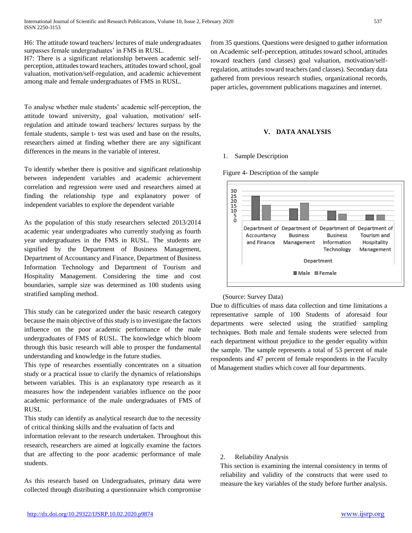H6: The attitude toward teachers/ lectures of male undergraduates surpasses female undergraduates' in FMS in RUSL.

H7: There is a significant relationship between academic selfperception, attitudes toward teachers, attitudes toward school, goal valuation, motivation/self-regulation, and academic achievement among male and female undergraduates of FMS in RUSL.

To analyse whether male students' academic self-perception, the attitude toward university, goal valuation, motivation/ selfregulation and attitude toward teachers/ lectures surpass by the female students, sample t- test was used and base on the results, researchers aimed at finding whether there are any significant differences in the means in the variable of interest.

To identify whether there is positive and significant relationship between independent variables and academic achievement correlation and regression were used and researchers aimed at finding the relationship type and explanatory power of independent variables to explore the dependent variable

As the population of this study researchers selected 2013/2014 academic year undergraduates who currently studying as fourth year undergraduates in the FMS in RUSL. The students are signified by the Department of Business Management, Department of Accountancy and Finance, Department of Business Information Technology and Department of Tourism and Hospitality Management. Considering the time and cost boundaries, sample size was determined as 100 students using stratified sampling method.

This study can be categorized under the basic research category because the main objective of this study is to investigate the factors influence on the poor academic performance of the male undergraduates of FMS of RUSL. The knowledge which bloom through this basic research will able to prosper the fundamental understanding and knowledge in the future studies.

This type of researches essentially concentrates on a situation study or a practical issue to clarify the dynamics of relationships between variables. This is an explanatory type research as it measures how the independent variables influence on the poor academic performance of the male undergraduates of FMS of RUSL

This study can identify as analytical research due to the necessity of critical thinking skills and the evaluation of facts and

information relevant to the research undertaken. Throughout this research, researchers are aimed at logically examine the factors that are affecting to the poor academic performance of male students.

As this research based on Undergraduates, primary data were collected through distributing a questionnaire which compromise

from 35 questions. Questions were designed to gather information on Academic self-perception, attitudes toward school, attitudes toward teachers (and classes) goal valuation, motivation/selfregulation, attitudes toward teachers (and classes). Secondary data gathered from previous research studies, organizational records, paper articles, government publications magazines and internet.

## **V. DATA ANALYSIS**

#### 1. Sample Description





#### (Source: Survey Data)

Due to difficulties of mass data collection and time limitations a representative sample of 100 Students of aforesaid four departments were selected using the stratified sampling techniques. Both male and female students were selected from each department without prejudice to the gender equality within the sample. The sample represents a total of 53 percent of male respondents and 47 percent of female respondents in the Faculty of Management studies which cover all four departments.

#### 2. Reliability Analysis

This section is examining the internal consistency in terms of reliability and validity of the constructs that were used to measure the key variables of the study before further analysis.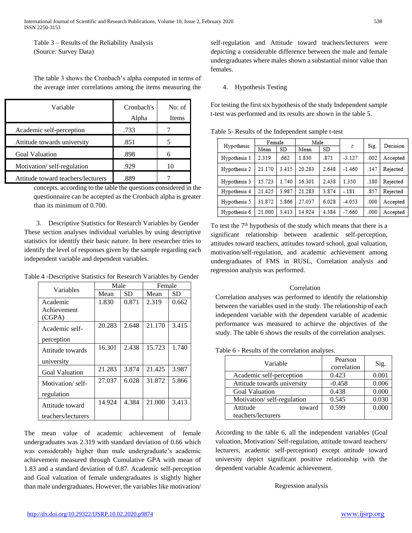Table 3 – Results of the Reliability Analysis (Source: Survey Data)

The table 3 shows the Cronbach's alpha computed in terms of the average inter correlations among the items measuring the

| Variable                           | Cronbach's<br>Alpha | No: of<br>Items |
|------------------------------------|---------------------|-----------------|
| Academic self-perception           | .733                |                 |
| Attitude towards university        | .851                |                 |
| <b>Goal Valuation</b>              | .898                |                 |
| Motivation/self-regulation         | .929                | 10              |
| Attitude toward teachers/lecturers |                     |                 |

concepts. according to the table the questions considered in the questionnaire can be accepted as the Cronbach alpha is greater than its minimum of 0.700.

3. Descriptive Statistics for Research Variables by Gender These section analyses individual variables by using descriptive statistics for identify their basic nature. In here researcher tries to identify the level of responses given by the sample regarding each independent variable and dependent variables.

Table 4 -Descriptive Statistics for Research Variables by Gender

| Variables             | Male   |       | Female |       |  |
|-----------------------|--------|-------|--------|-------|--|
|                       | Mean   | SD    | Mean   | SD    |  |
| Academic              | 1.830  | 0.871 | 2.319  | 0.662 |  |
| Achievement           |        |       |        |       |  |
| (CGPA)                |        |       |        |       |  |
| Academic self-        | 20.283 | 2.648 | 21.170 | 3.415 |  |
| perception            |        |       |        |       |  |
| Attitude towards      | 16.301 | 2.438 | 15.723 | 1.740 |  |
| university            |        |       |        |       |  |
| <b>Goal Valuation</b> | 21.283 | 3.874 | 21.425 | 3.987 |  |
| Motivation/self-      | 27.037 | 6.028 | 31.872 | 5.866 |  |
| regulation            |        |       |        |       |  |
| Attitude toward       | 14.924 | 4.384 | 21.000 | 3.413 |  |
| teachers/lecturers    |        |       |        |       |  |

The mean value of academic achievement of female undergraduates was 2.319 with standard deviation of 0.66 which was considerably higher than male undergraduate's academic achievement measured through Cumulative GPA with mean of 1.83 and a standard deviation of 0.87. Academic self-perception and Goal valuation of female undergraduates is slightly higher than male undergraduates. However, the variables like motivation/ self-regulation and Attitude toward teachers/lecturers were depicting a considerable difference between the male and female undergraduates where males shown a substantial minor value than females.

4. Hypothesis Testing

For testing the first six hypothesis of the study Independent sample t-test was performed and its results are shown in the table 5.

|              | Female |       | Male   |       |          |      | Decision |  |
|--------------|--------|-------|--------|-------|----------|------|----------|--|
| Hypothesis   | Mean   | SD    | Mean   | SD    |          | Sig. |          |  |
| Hypothesis 1 | 2.319  | .662  | 1.830  | 871   | $-3.127$ | .002 | Accepted |  |
| Hypothesis 2 | 21.170 | 3.415 | 20.283 | 2.648 | $-1.460$ | .147 | Rejected |  |
| Hypothesis 3 | 15.723 | 1.740 | 16.301 | 2.438 | 1.350    | .180 | Rejected |  |
| Hypothesis 4 | 21.425 | 3.987 | 21.283 | 3.874 | $-.181$  | .857 | Rejected |  |
| Hypothesis 5 | 31.872 | 5.866 | 27.037 | 6.028 | $-4.053$ | .000 | Accepted |  |
| Hypothesis 6 | 21.000 | 3.413 | 14.924 | 4.384 | $-7.660$ | .000 | Accepted |  |

Table 5- Results of the Independent sample t-test

To test the 7<sup>th</sup> hypothesis of the study which means that there is a significant relationship between academic self-perception, attitudes toward teachers, attitudes toward school, goal valuation, motivation/self-regulation, and academic achievement among undergraduates of FMS in RUSL, Correlation analysis and regression analysis was performed.

#### Correlation

Correlation analyses was performed to identify the relationship between the variables used in the study. The relationship of each independent variable with the dependent variable of academic performance was measured to achieve the objectives of the study. The table 6 shows the results of the correlation analyses.

Table 6 - Results of the correlation analyses.

| Variable                    | Pearson<br>correlation | Sig.  |
|-----------------------------|------------------------|-------|
| Academic self-perception    | 0.423                  | 0.001 |
| Attitude towards university | $-0.458$               | 0.006 |
| <b>Goal Valuation</b>       | 0.438                  | 0.000 |
| Motivation/self-regulation  | 0.545                  | 0.030 |
| Attitude<br>toward          | 0.599                  | 0.000 |
| teachers/lecturers          |                        |       |

According to the table 6, all the independent variables (Goal valuation, Motivation/ Self-regulation, attitude toward teachers/ lecturers, academic self-perception) except attitude toward university depict significant positive relationship with the dependent variable Academic achievement.

#### Regression analysis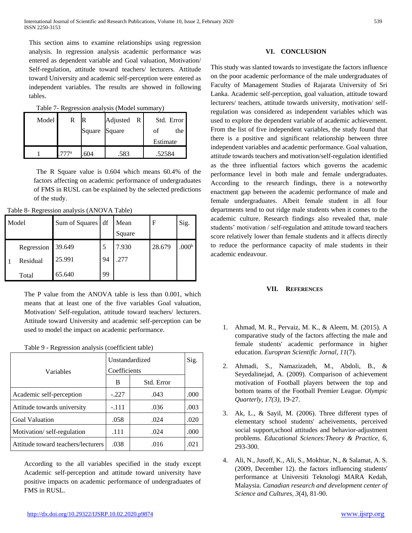This section aims to examine relationships using regression analysis. In regression analysis academic performance was entered as dependent variable and Goal valuation, Motivation/ Self-regulation, attitude toward teachers/ lecturers. Attitude toward University and academic self-perception were entered as independent variables. The results are showed in following tables.

| Table 7- Regression analysis (Model summary) |  |  |
|----------------------------------------------|--|--|
|                                              |  |  |
|                                              |  |  |

| Model |      | R             | Adjusted R | Std. Error |
|-------|------|---------------|------------|------------|
|       |      | Square Square |            | the<br>Ωt  |
|       |      |               |            | Estimate   |
|       | 777a | 604           | .583       | .52584     |

The R Square value is 0.604 which means 60.4% of the factors affecting on academic performance of undergraduates of FMS in RUSL can be explained by the selected predictions of the study.

| Model |            | Sum of Squares df |    | Mean<br>Square | F      | Sig.              |
|-------|------------|-------------------|----|----------------|--------|-------------------|
|       | Regression | 39.649            | 5  | 7.930          | 28.679 | .000 <sup>b</sup> |
|       | Residual   | 25.991            | 94 | .277           |        |                   |
|       | Total      | 65.640            | 99 |                |        |                   |

The P value from the ANOVA table is less than 0.001, which means that at least one of the five variables Goal valuation, Motivation/ Self-regulation, attitude toward teachers/ lecturers. Attitude toward University and academic self-perception can be used to model the impact on academic performance.

|  |  |  | Table 9 - Regression analysis (coefficient table) |  |
|--|--|--|---------------------------------------------------|--|
|--|--|--|---------------------------------------------------|--|

| Variables                          | Unstandardized<br>Coefficients | Sig.       |      |
|------------------------------------|--------------------------------|------------|------|
|                                    | B                              | Std. Error |      |
| Academic self-perception           | $-.227$                        | .043       | .000 |
| Attitude towards university        | $-.111$                        | .036       | .003 |
| <b>Goal Valuation</b>              | .058                           | .024       | .020 |
| Motivation/self-regulation         | .111                           | .024       | .000 |
| Attitude toward teachers/lecturers | .038                           | .016       | .021 |

According to the all variables specified in the study except Academic self-perception and attitude toward university have positive impacts on academic performance of undergraduates of FMS in RUSL.

## **VI. CONCLUSION**

This study was slanted towards to investigate the factors influence on the poor academic performance of the male undergraduates of Faculty of Management Studies of Rajarata University of Sri Lanka. Academic self-perception, goal valuation, attitude toward lecturers/ teachers, attitude towards university, motivation/ selfregulation was considered as independent variables which was used to explore the dependent variable of academic achievement. From the list of five independent variables, the study found that there is a positive and significant relationship between three independent variables and academic performance. Goal valuation, attitude towards teachers and motivation/self-regulation identified as the three influential factors which governs the academic performance level in both male and female undergraduates. According to the research findings, there is a noteworthy enactment gap between the academic performance of male and female undergraduates. Albeit female student in all four departments tend to out ridge male students when it comes to the academic culture. Research findings also revealed that, male students' motivation / self-regulation and attitude toward teachers score relatively lower than female students and it affects directly to reduce the performance capacity of male students in their academic endeavour.

## **VII. REFERENCES**

- 1. Ahmad, M. R., Pervaiz, M. K., & Aleem, M. (2015). A comparative study of the factors affecting the male and female students' academic performance in higher education. *Europran Scientific Jornal, 11*(7).
- 2. Ahmadi, S., Namazizadeh, M., Abdoli, B., & Seyedalinejad, A. (2009). Comparison of achievement motivation of Football players between the top and bottom teams of the Football Premier League. *Olympic Quarterly, 17(3)*, 19-27.
- 3. Ak, L., & Sayil, M. (2006). Three different types of elementary school students' acheivements, perceived social support,school attitudes and behavior-adjustment problems. *Educational Sciences:Theory & Practice, 6*, 293-300.
- 4. Ali, N., Jusoff, K., Ali, S., Mokhtar, N., & Salamat, A. S. (2009, December 12). the factors influencing students' performance at Universiti Teknologi MARA Kedah, Malaysia. *Canadian research and development center of Science and Cultures, 3*(4), 81-90.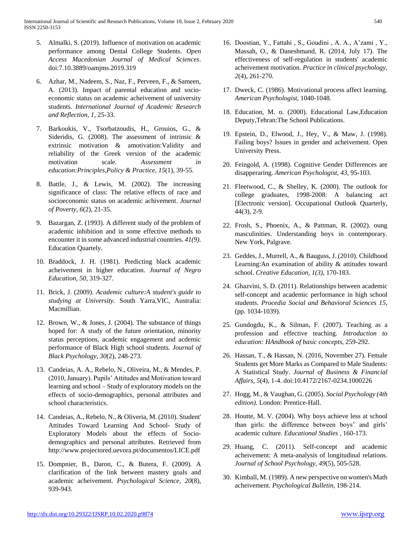- 5. Almalki, S. (2019). Influence of motivation on academic performance among Dental College Students. *Open Access Macedonian Journal of Medical Sciences*. doi:7.10.3889/oamjms.2019.319
- 6. Azhar, M., Nadeem, S., Naz, F., Perveen, F., & Sameen, A. (2013). Impact of parental education and socioeconomic status on academic acheivement of university students. *International Journal of Academic Research and Reflection, 1*, 25-33.
- 7. Barkoukis, V., Tsorbatzoudis, H., Grouios, G., & Sideridis, G. (2008). The assessment of intrinsic & extrinsic motivation & amotivation:Validity and reliability of the Greek version of the academic motivation scale. *Assessment in education:Principles,Policy & Practice, 15*(1), 39-55.
- 8. Battle, J., & Lewis, M. (2002). The increasing significance of class: The relative effects of race and socioeconomic status on academic achivement. *Journal of Poverty, 6*(2), 21-35.
- 9. Bazargan, Z. (1993). A different study of the problem of academic inhibition and in some effective methods to encounter it in some advanced industrial countries. *41(9)*. Education Quartely.
- 10. Braddock, J. H. (1981). Predicting black academic acheivement in higher education. *Journal of Negro Education, 50*, 319-327.
- 11. Brick, J. (2009). *Academic culture:A student's guide to studying at University.* South Yarra,VIC, Australia: Macmillian.
- 12. Brown, W., & Jones, J. (2004). The substance of things hoped for: A study of the future orientation, minority status perceptions, academic engagement and acdemic performance of Black High school students. *Journal of Black Psychology, 30*(2), 248-273.
- 13. Candeias, A. A., Rebelo, N., Oliveira, M., & Mendes, P. (2010, January). Pupils' Attitudes and Motivation toward learning and school – Study of exploratory models on the effects of socio-demographics, personal attributes and school characteristics.
- 14. Candeias, A., Rebelo, N., & Oliveria, M. (2010). Student' Attitudes Toward Learning And School- Study of Exploratory Models about the effects of Sociodemographics and personal attributes. Retrieved from http://www.projectored.uevora.pt/documentos/LICE.pdf
- 15. Dompnier, B., Daron, C., & Butera, F. (2009). A clarification of the link between mastery goals and academic acheivement. *Psychological Science, 20*(8), 939-943.
- 16. Doostian, Y., Fattahi , S., Goudini , A. A., A'zami , Y., Massah, O., & Daneshmand, R. (2014, July 17). The effectiveness of self-regulation in students' academic acheivement motivation. *Practice in clinical psychology, 2*(4), 261-270.
- 17. Dweck, C. (1986). Motivational process affect learning. *American Psychologist*, 1040-1048.
- 18. Education, M. o. (2000). Educational Law,Education Deputy,Tehran:The School Publications.
- 19. Epstein, D., Elwood, J., Hey, V., & Maw, J. (1998). Failing boys? Issues in gender and acheivement. Open University Press.
- 20. Feingold, A. (1998). Cognitive Gender Differences are disapperaring. *American Psychologist, 43*, 95-103.
- 21. Fleetwood, C., & Shelley, K. (2000). The outlook for college graduates, 1998-2008: A balancing act [Electronic version]. Occupational Outlook Quarterly, 44(3), 2-9.
- 22. Frosh, S., Phoenix, A., & Pattman, R. (2002). oung masculinities. Understanding boys in contemporary. New York, Palgrave.
- 23. Geddes, J., Murrell, A., & Bauguss, J. (2010). Childhood Learning:An examination of ability & attitudes toward school. *Creative Education, 1(3)*, 170-183.
- 24. Ghazvini, S. D. (2011). Relationships between academic self-concept and academic performance in high school students. *Procedia Social and Behavioral Sciences 15*, (pp. 1034-1039).
- 25. Gundogdu, K., & Silman, F. (2007). Teaching as a profession and effective teaching. *Introduction to education: HAndbook of basic concepts*, 259-292.
- 26. Hassan, T., & Hassan, N. (2016, November 27). Female Students get More Marks as Compared to Male Students: A Statistical Study. *Journal of Business & Financial Affairs, 5*(4), 1-4. doi:10.4172/2167-0234.1000226
- 27. Hogg, M., & Vaughan, G. (2005). *Social Psychology (4th edition).* London: Prentice-Hall.
- 28. Houtte, M. V. (2004). Why boys achieve less at school than girls: the difference between boys' and girls' academic culture. *Educational Studies* , 160-173.
- 29. Huang, C. (2011). Self-concept and academic acheivement: A meta-analysis of longitudinal relations. *Journal of School Psychology, 49*(5), 505-528.
- 30. Kimball, M. (1989). A new perspective on women's Math acheivement. *Psychological Bulletin*, 198-214.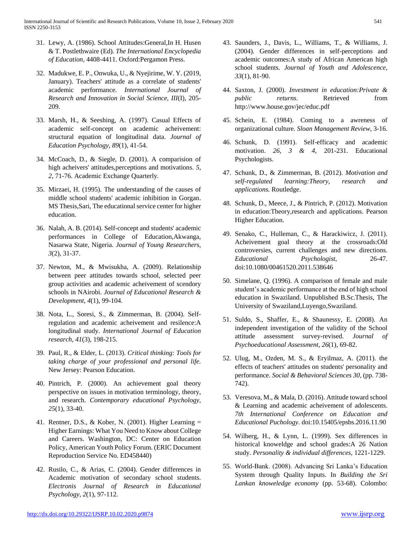- 31. Lewy, A. (1986). School Attitudes:General,In H. Husen & T. Postlethwaire (Ed). *The International Encyclopedia of Education*, 4408-4411. Oxford:Pergamon Press.
- 32. Madukwe, E. P., Onwuka, U., & Nyejirime, W. Y. (2019, January). Teachers' attitude as a correlate of students' academic performance. *International Journal of Research and Innovation in Social Science, III*(I), 205- 209.
- 33. Marsh, H., & Seeshing, A. (1997). Casual Effects of academic self-concept on academic acheivement: structural equation of longitudinal data. *Journal of Education Psychology, 89*(1), 41-54.
- 34. McCoach, D., & Siegle, D. (2001). A comparision of high acheivers' attitudes,perceptions and motivations. *5, 2*, 71-76. Academic Exchange Quarterly.
- 35. Mirzaei, H. (1995). The understanding of the causes of middle school students' academic inhibition in Gorgan. MS Thesis,Sari, The educational service center for higher education.
- 36. Nalah, A. B. (2014). Self-concept and students' academic performances in College of Education,Akwanga, Nasarwa State, Nigeria. *Journal of Young Researchers, 3*(2), 31-37.
- 37. Newton, M., & Mwisukha, A. (2009). Relationship between peer attitudes towards school, selected peer group activities and academic acheivement of scendory schools in NAirobi. *Journal of Educational Research & Development, 4*(1), 99-104.
- 38. Nota, L., Soresi, S., & Zimmerman, B. (2004). Selfregulation and academic acheivement and resilence:A longitudinal study. *International Journal of Education research, 41*(3), 198-215.
- 39. Paul, R., & Elder, L. (2013). *Critical thinking: Tools for taking charge of your professional and personal life.* New Jersey: Pearson Education.
- 40. Pintrich, P. (2000). An achievement goal theory perspective on issues in motivation terminology, theory, and research. *Contemporary educational Psychology, 25*(1), 33-40.
- 41. Rentner, D.S., & Kober, N. (2001). Higher Learning = Higher Earnings: What You Need to Know about College and Careers. Washington, DC: Center on Education Policy, American Youth Policy Forum. (ERIC Document Reproduction Service No. ED458440)
- 42. Rusilo, C., & Arias, C. (2004). Gender differences in Academic motivation of secondary school students. *Electronis Journal of Research in Educational Psychology, 2*(1), 97-112.
- 43. Saunders, J., Davis, L., Williams, T., & Williams, J. (2004). Gender differences in self-perceptions and academic outcomes:A study of African American high school students. *Journal of Youth and Adolescence, 33*(1), 81-90.
- 44. Saxton, J. (2000). *Investment in education:Private & public returns*. Retrieved from http://www.house.gov/jec/educ.pdf
- 45. Schein, E. (1984). Coming to a awreness of organizational culture. *Sloan Management Review*, 3-16.
- 46. Schunk, D. (1991). Self-efficacy and academic motivation. *26, 3 & 4*, 201-231. Educational Psychologists.
- 47. Schunk, D., & Zimmerman, B. (2012). *Motivation and self-regulated learning:Theory, research and applications.* Routledge.
- 48. Schunk, D., Meece, J., & Pintrich, P. (2012). Motivation in education:Theory,research and applications. Pearson Higher Education.
- 49. Senako, C., Hulleman, C., & Harackiwicz, J. (2011). Acheivement goal theory at the crossroads:Old controversies, current challenges and new directions. *Educational Psychologist*, 26-47. doi:10.1080/00461520.2011.538646
- 50. Simelane, Q. (1996). A comparison of female and male student's academic performance at the end of high school education in Swaziland. Unpublished B.Sc.Thesis, The University of Swaziland,Luyengo,Swaziland.
- 51. Suldo, S., Shaffer, E., & Shaunessy, E. (2008). An independent investigation of the validity of the School attitude assessment survey-revised. *Journal of Psychoeducational Assessment, 26*(1), 69-82.
- 52. Ulug, M., Ozden, M. S., & Eryilmaz, A. (2011). the effects of teachers' attitudes on students' personality and performance. *Social & Behavioral Sciences 30*, (pp. 738- 742).
- 53. Veresova, M., & Mala, D. (2016). Attitude toward school & Learning and academic acheivement of adolescents. *7th International Conference on Education and Educational Puchology.* doi:10.15405/epsbs.2016.11.90
- 54. Wilberg, H., & Lynn, L. (1999). Sex differences in historical knoweldge and school grades:A 26 Nation study. *Personality & individual differences*, 1221-1229.
- 55. World-Bank. (2008). Advancing Sri Lanka's Education System through Quality Inputs. In *Building the Sri Lankan knoweledge economy* (pp. 53-68). Colombo: